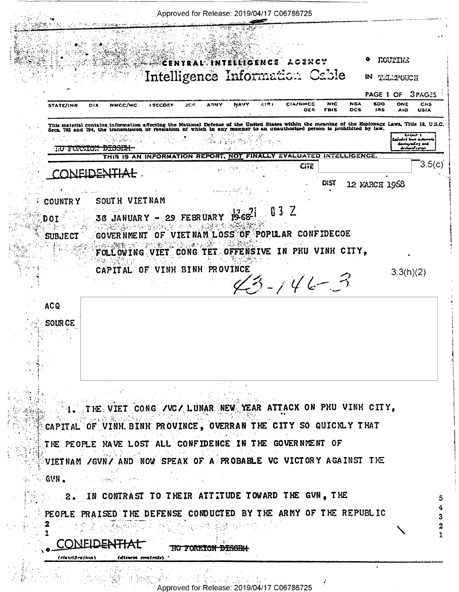. Approved for Release: 2019/04/17 C06786725 · ROUTING CENTRAL TNTELLIGENCE ACENCY Intelligence Information Cable IN TELEPOUCH PAGE 1 OF **3PAGES NSA** NAVY **CIA/NMCC** NIC. 500 ONE CHS **STATE/INR DIA** NMCC/MC **(SECDEF JCS ARMY** OER **FBIS** ncs **IRS AIO USIA** This material contains information affecting the National Defense of the United States within the meaning of the Espionage Laws, Title 18, U.S.C.<br>Secs. 793 and 794, the transmission or revelation of which in any manner to <del>KO FORZIGN DISSENI</del>  $\sim$ THIS IS AN INFORMATION REPORT, NOT FINALLY EVALUATED INTELLIGENCE  $3.5(c)$ CiTE CONEIDENTIAL. **DIST** 12 MARCH 1968 SOUTH VIETNAM **COUNTRY**  $032$  $30$  JANUARY - 29 FEBRUARY 1968-1 **DOT**  $\alpha\in\mathbb{Z}^{N}$ GOVER NMENT OF VIET NAM LOSS OF POPULAR CONFIDECOE **SUBJECT** FOLLOWING VIET CONG TET OFFENSIVE IN PHU VINH CITY, CAPITAL OF VINH BINH PROVINCE  $3.3(h)(2)$  $3 - 146 - 3$ **ACQ SOURCE** 1. THE VIET CONG / VC/ LUNAR NEW YEAR ATTACK ON PHU VINH CITY, CAPITAL OF VINH BINH PROVINCE, OVERRAN THE CITY SO QUICKLY THAT THE PEOPLE HAVE LOST ALL CONFIDENCE IN THE GOVERNMENT OF VIETNAM / GVN/ AND NOW SPEAK OF A PROBABLE VC VICTORY AGAINST THE GVN. a na samang pang 2. IN CONTRAST TO THEIR ATTITUDE TOWARD THE GVN, THE PEOPLE PRAISED THE DEFENSE CONDUCTED BY THE ARMY OF THE REPUBLIC  $\boldsymbol{2}$ CONEIDENTIAL NO FOREIGN DISSEN (classification) (dissem controls) **大、残余 计每周的误差** 

Approved for Release: 2019/04/17 C06786725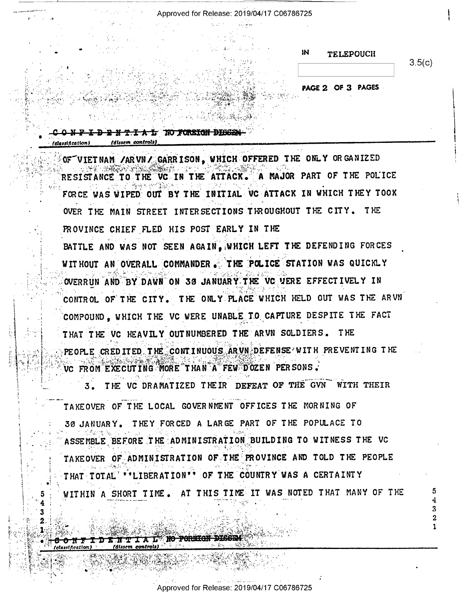Approved for Release: 2019/04/17 C06786725

TA MARKA SA MARA

 $\mathbf{M}$ **TELEPOUCH** 

 $3.5(c)$ 

2 1

PAGE 2 OF 3 PAGES

CONFIDENTIAL NO FORBIGH DISSEN (dissem controls) (classification)

5.

OF VIET NAM / AR VN / GARR ISON, WHICH OFFERED THE ONLY ORGANIZED RESISTANCE TO THE VC IN THE ATTACK. A MAJOR PART OF THE POLICE FORCE WAS WIPED OUT BY THE INITIAL VC ATTACK IN WHICH THEY TOOK OVER THE MAIN STREET INTERSECTIONS THROUGHOUT THE CITY. THE PROVINCE CHIEF FLED HIS POST EARLY IN THE BATTLE AND WAS NOT SEEN AGAIN. WHICH LEFT THE DEFENDING FORCES WITHOUT AN OVERALL COMMANDER. THE POLICE STATION WAS QUICKLY OVERRUN AND BY DAWN ON 30 JANUARY THE VC VERE EFFECTIVELY IN CONTROL OF THE CITY. THE ONLY PLACE WHICH HELD OUT WAS THE ARVN COMPOUND, WHICH THE VC WERE UNABLE TO CAPTURE DESPITE THE FACT THAT THE VC HEAVILY OUTNUMBERED THE ARVN SOLDIERS. THE PEOPLE CREDITED THE CONTINUOUS ARVN DEFENSE WITH PREVENTING THE VC FROM EXECUTING MORE THAN A FEW DOZEN PERSONS.

3. THE VC DRAMATIZED THEIR DEFEAT OF THE GVN WITH THEIR TAKEOVER OF THE LOCAL GOVERNMENT OFFICES THE MORNING OF 30 JANUARY. THEY FORCED A LARGE PART OF THE POPULACE TO ASSEMBLE BEFORE THE ADMINISTRATION BUILDING TO WITNESS THE VC TAKEOVER OF ADMINISTRATION OF THE PROVINCE AND TOLD THE PEOPLE THAT TOTAL "'LIBERATION'" OF THE COUNTRY WAS A CERTAINTY WITHIN A SHORT TIME. AT THIS TIME IT WAS NOTED THAT MANY OF THE

Approved for Release: 2019/04/17 C06786725

I A LE NO POREIGN DISSEN